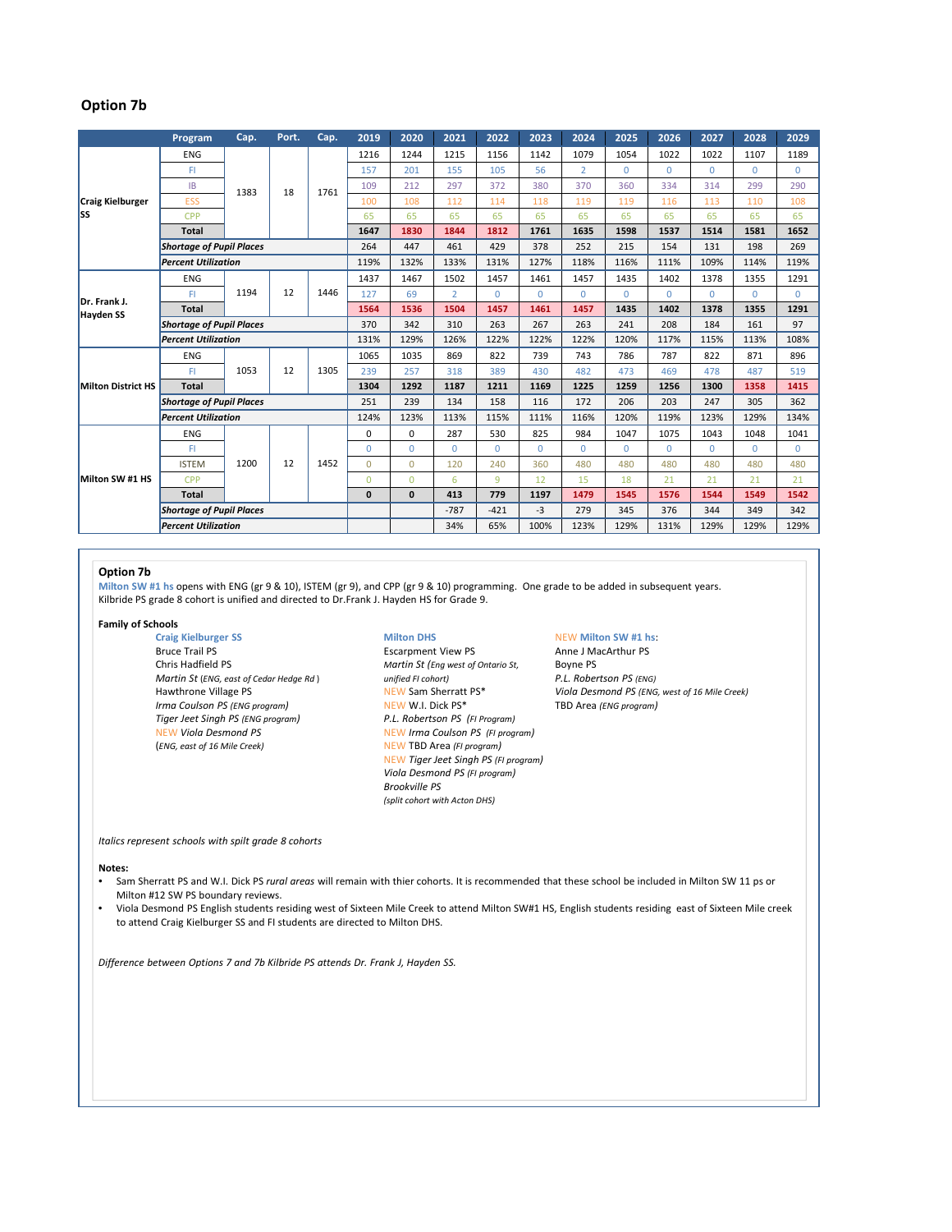# **Option 7b**

|                                  | Program                         | Cap. | Port. | Cap. | 2019         | 2020           | 2021           | 2022         | 2023         | 2024           | 2025     | 2026     | 2027         | 2028     | 2029         |
|----------------------------------|---------------------------------|------|-------|------|--------------|----------------|----------------|--------------|--------------|----------------|----------|----------|--------------|----------|--------------|
| Craig Kielburger<br>lss          | <b>ENG</b>                      | 1383 | 18    | 1761 | 1216         | 1244           | 1215           | 1156         | 1142         | 1079           | 1054     | 1022     | 1022         | 1107     | 1189         |
|                                  | FI.                             |      |       |      | 157          | 201            | 155            | 105          | 56           | $\overline{2}$ | $\Omega$ | $\Omega$ | $\Omega$     | $\Omega$ | $\Omega$     |
|                                  | <b>IB</b>                       |      |       |      | 109          | 212            | 297            | 372          | 380          | 370            | 360      | 334      | 314          | 299      | 290          |
|                                  | <b>ESS</b>                      |      |       |      | 100          | 108            | 112            | 114          | 118          | 119            | 119      | 116      | 113          | 110      | 108          |
|                                  | <b>CPP</b>                      |      |       |      | 65           | 65             | 65             | 65           | 65           | 65             | 65       | 65       | 65           | 65       | 65           |
|                                  | <b>Total</b>                    |      |       |      | 1647         | 1830           | 1844           | 1812         | 1761         | 1635           | 1598     | 1537     | 1514         | 1581     | 1652         |
|                                  | <b>Shortage of Pupil Places</b> |      |       |      | 264          | 447            | 461            | 429          | 378          | 252            | 215      | 154      | 131          | 198      | 269          |
|                                  | <b>Percent Utilization</b>      |      |       |      | 119%         | 132%           | 133%           | 131%         | 127%         | 118%           | 116%     | 111%     | 109%         | 114%     | 119%         |
| Dr. Frank J.<br><b>Hayden SS</b> | <b>ENG</b>                      | 1194 | 12    | 1446 | 1437         | 1467           | 1502           | 1457         | 1461         | 1457           | 1435     | 1402     | 1378         | 1355     | 1291         |
|                                  | FI                              |      |       |      | 127          | 69             | $\overline{2}$ | $\Omega$     | $\Omega$     | $\Omega$       | $\Omega$ | $\Omega$ | $\Omega$     | $\Omega$ | $\Omega$     |
|                                  | Total                           |      |       |      | 1564         | 1536           | 1504           | 1457         | 1461         | 1457           | 1435     | 1402     | 1378         | 1355     | 1291         |
|                                  | <b>Shortage of Pupil Places</b> |      |       |      | 370          | 342            | 310            | 263          | 267          | 263            | 241      | 208      | 184          | 161      | 97           |
|                                  | <b>Percent Utilization</b>      |      |       |      | 131%         | 129%           | 126%           | 122%         | 122%         | 122%           | 120%     | 117%     | 115%         | 113%     | 108%         |
| <b>Milton District HS</b>        | <b>ENG</b>                      | 1053 | 12    | 1305 | 1065         | 1035           | 869            | 822          | 739          | 743            | 786      | 787      | 822          | 871      | 896          |
|                                  | FI.                             |      |       |      | 239          | 257            | 318            | 389          | 430          | 482            | 473      | 469      | 478          | 487      | 519          |
|                                  | <b>Total</b>                    |      |       |      | 1304         | 1292           | 1187           | 1211         | 1169         | 1225           | 1259     | 1256     | 1300         | 1358     | 1415         |
|                                  | <b>Shortage of Pupil Places</b> |      |       |      | 251          | 239            | 134            | 158          | 116          | 172            | 206      | 203      | 247          | 305      | 362          |
|                                  | <b>Percent Utilization</b>      |      |       |      | 124%         | 123%           | 113%           | 115%         | 111%         | 116%           | 120%     | 119%     | 123%         | 129%     | 134%         |
| Milton SW #1 HS                  | <b>ENG</b>                      | 1200 | 12    | 1452 | 0            | $\mathbf 0$    | 287            | 530          | 825          | 984            | 1047     | 1075     | 1043         | 1048     | 1041         |
|                                  | FI                              |      |       |      | $\mathbf{0}$ | $\overline{0}$ | $\Omega$       | $\mathbf{0}$ | $\mathbf{0}$ | $\Omega$       | $\Omega$ | $\Omega$ | $\mathbf{0}$ | 0        | $\mathbf{0}$ |
|                                  | <b>ISTEM</b>                    |      |       |      | $\Omega$     | $\Omega$       | 120            | 240          | 360          | 480            | 480      | 480      | 480          | 480      | 480          |
|                                  | <b>CPP</b>                      |      |       |      | $\mathbf{0}$ | $\overline{0}$ | 6              | 9            | 12           | 15             | 18       | 21       | 21           | 21       | 21           |
|                                  | <b>Total</b>                    |      |       |      | $\mathbf{0}$ | $\mathbf{0}$   | 413            | 779          | 1197         | 1479           | 1545     | 1576     | 1544         | 1549     | 1542         |
|                                  | <b>Shortage of Pupil Places</b> |      |       |      |              |                | $-787$         | $-421$       | $-3$         | 279            | 345      | 376      | 344          | 349      | 342          |
|                                  | <b>Percent Utilization</b>      |      |       |      |              |                | 34%            | 65%          | 100%         | 123%           | 129%     | 131%     | 129%         | 129%     | 129%         |

# **Option 7b**

**Milton SW #1 hs** opens with ENG (gr 9 & 10), ISTEM (gr 9), and CPP (gr 9 & 10) programming. One grade to be added in subsequent years. Kilbride PS grade 8 cohort is unified and directed to Dr.Frank J. Hayden HS for Grade 9.

# **Family of Schools**

**Craig Kielburger SS Milton DHS** NEW **Milton SW #1 hs**: Bruce Trail PS **Escarpment View PS** Anne J MacArthur PS Chris Hadfield PS **Anne J MacArthur PS** Chris Hadfield PS **Anne J MacArthur PS** *Martin St* (*ENG, east of Cedar Hedge Rd* ) *unified FI cohort) P.L. Robertson PS (ENG) Irma* Coulson *PS (ENG program)* NEW W.I. Dick PS\* TBD Area *(ENG program)*<br> *P.L. Robertson PS (FI Program)* Tiger Jeet Singh PS *(FI Program)*  $Tiger\,Jeet\,Singh\,PS$  (ENG program) NEW *Viola Desmond PS* NEW *Irma Coulson PS (FI program)* (*ENG, east of 16 Mile Creek)* NEW TBD Area *(FI program)*

Martin St (Eng west of Ontario St, Boyne PS<br>
unified FI cohort) **P.L. Robertson PS** (ENG) NEW *Tiger Jeet Singh PS (FI program) Viola Desmond PS (FI program) Brookville PS (split cohort with Acton DHS)*

 $Viola$  *Desmond PS (ENG, west of 16 Mile Creek)* 

*Italics represent schools with spilt grade 8 cohorts*

## **Notes:**

- Sam Sherratt PS and W.I. Dick PS *rural areas* will remain with thier cohorts. It is recommended that these school be included in Milton SW 11 ps or Milton #12 SW PS boundary reviews.
- Viola Desmond PS English students residing west of Sixteen Mile Creek to attend Milton SW#1 HS, English students residing east of Sixteen Mile creek to attend Craig Kielburger SS and FI students are directed to Milton DHS.

*Difference between Options 7 and 7b Kilbride PS attends Dr. Frank J, Hayden SS.*